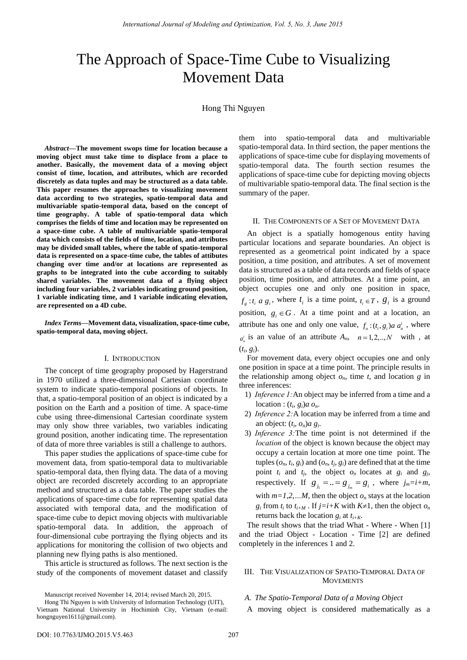# The Approach of Space-Time Cube to Visualizing Movement Data

Hong Thi Nguyen

*Abstract***—The movement swops time for location because a moving object must take time to displace from a place to another. Basically, the movement data of a moving object consist of time, location, and attributes, which are recorded discretely as data tuples and may be structured as a data table. This paper resumes the approaches to visualizing movement data according to two strategies, spatio-temporal data and multivariable spatio-temporal data, based on the concept of time geography. A table of spatio-temporal data which comprises the fields of time and location may be represented on a space-time cube. A table of multivariable spatio-temporal data which consists of the fields of time, location, and attributes may be divided small tables, where the table of spatio-temporal data is represented on a space-time cube, the tables of attibutes changing over time and/or at locations are represented as graphs to be integrated into the cube according to suitably shared variables. The movement data of a flying object including four variables, 2 variables indicating ground position, 1 variable indicating time, and 1 variable indicating elevation, are represented on a 4D cube.** 

*Index Terms***—Movement data, visualization, space-time cube, spatio-temporal data, moving object.**

#### I. INTRODUCTION

The concept of time geography proposed by Hagerstrand in 1970 utilized a three-dimensional Cartesian coordinate system to indicate spatio-temporal positions of objects. In that, a spatio-temporal position of an object is indicated by a position on the Earth and a position of time. A space-time cube using three-dimensional Cartesian coordinate system may only show three variables, two variables indicating ground position, another indicating time. The representation of data of more three variables is still a challenge to authors.

This paper studies the applications of space-time cube for movement data, from spatio-temporal data to multivariable spatio-temporal data, then flying data. The data of a moving object are recorded discretely according to an appropriate method and structured as a data table. The paper studies the applications of space-time cube for representing spatial data associated with temporal data, and the modification of space-time cube to depict moving objects with multivariable spatio-temporal data. In addition, the approach of four-dimensional cube portraying the flying objects and its applications for monitoring the collision of two objects and planning new flying paths is also mentioned.

This article is structured as follows. The next section is the study of the components of movement dataset and classify

Manuscript received November 14, 2014; revised March 20, 2015.

them into spatio-temporal data and multivariable spatio-temporal data. In third section, the paper mentions the applications of space-time cube for displaying movements of spatio-temporal data. The fourth section resumes the applications of space-time cube for depicting moving objects of multivariable spatio-temporal data. The final section is the summary of the paper.

#### II. THE COMPONENTS OF A SET OF MOVEMENT DATA

An object is a spatially homogenous entity having particular locations and separate boundaries. An object is represented as a geometrical point indicated by a space position, a time position, and attributes. A set of movement data is structured as a table of data records and fields of space position, time position, and attributes. At a time point, an object occupies one and only one position in space,  $f_g: t_i \text{ a } g_i$ , where  $t_i$  is a time point,  $t_i \in T$ ,  $g_i$  is a ground position,  $g_i \in G$ . At a time point and at a location, an attribute has one and only one value,  $f_n: (t_i, g_i)$  *a*  $a_n^i$ , where  $a_n^i$  is an value of an attribute  $A_n$ ,  $n = 1, 2, \dots, N$  with, at  $(t_i, g_i)$ .

For movement data, every object occupies one and only one position in space at a time point. The principle results in the relationship among object  $o_n$ , time  $t$ , and location  $g$  in three inferences:

- 1) *Inference 1:*An object may be inferred from a time and a location :  $(t_i, g_i)a o_n$ .
- 2) *Inference 2:*A location may be inferred from a time and an object:  $(t_i, o_n)a g_i$ .
- 3) *Inference 3:*The time point is not determined if the *location* of the object is known because the object may occupy a certain location at more one time point. The tuples  $(o_n, t_i, g_i)$  and  $(o_n, t_j, g_i)$  are defined that at the time point  $t_i$  and  $t_j$ , the object  $o_n$  locates at  $g_i$  and  $g_j$ , respectively. If  $g_{j_1} = ... = g_{j_m} = g_i$ , where  $j_m = i+m$ , with  $m=1,2,...M$ , then the object  $o_n$  stays at the location *g*<sub>*i*</sub> from *t*<sub>*i*</sub> to *t*<sub>*i+M*</sub> . If *j*=*i*+*K* with *K*≠1, then the object *o<sub>n</sub>* returns back the location  $g_i$  at  $t_{i+K}$ .

The result shows that the triad What - Where - When [1] and the triad Object - Location - Time [2] are defined completely in the inferences 1 and 2.

### III. THE VISUALIZATION OF SPATIO-TEMPORAL DATA OF **MOVEMENTS**

### *A. The Spatio-Temporal Data of a Moving Object*

A moving object is considered mathematically as a

Hong Thi Nguyen is with University of Information Technology (UIT), Vietnam National University in Hochiminh City, Vietnam (e-mail: hongnguyen1611@gmail.com).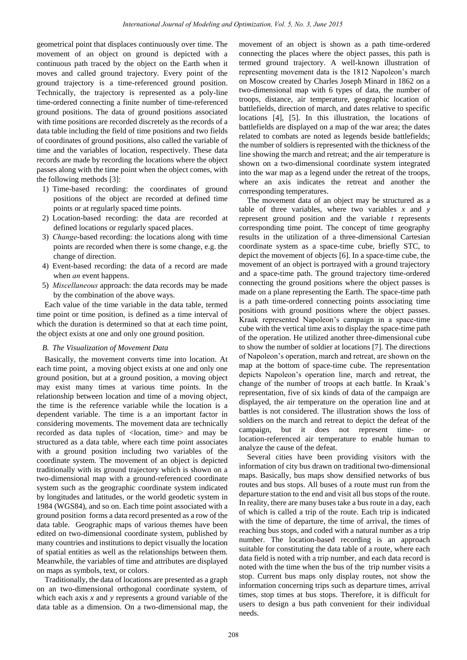geometrical point that displaces continuously over time. The movement of an object on ground is depicted with a continuous path traced by the object on the Earth when it moves and called ground trajectory. Every point of the ground trajectory is a time-referenced ground position. Technically, the trajectory is represented as a poly-line time-ordered connecting a finite number of time-referenced ground positions. The data of ground positions associated with time positions are recorded discretely as the records of a data table including the field of time positions and two fields of coordinates of ground positions, also called the variable of time and the variables of location, respectively. These data records are made by recording the locations where the object passes along with the time point when the object comes, with the following methods [3]:

- 1) Time-based recording: the coordinates of ground positions of the object are recorded at defined time points or at regularly spaced time points.
- 2) Location-based recording: the data are recorded at defined locations or regularly spaced places.
- 3) *Change*-based recording: the locations along with time points are recorded when there is some change, e.g. the change of direction.
- 4) Event-based recording: the data of a record are made when *an* event happens.
- 5) *Miscellaneous* approach: the data records may be made by the combination of the above ways.

Each value of the time variable in the data table, termed time point or time position, is defined as a time interval of which the duration is determined so that at each time point, the object exists at one and only one ground position.

#### *B. The Visualization of Movement Data*

Basically, the movement converts time into location. At each time point, a moving object exists at one and only one ground position, but at a ground position, a moving object may exist many times at various time points. In the relationship between location and time of a moving object, the time is the reference variable while the location is a dependent variable. The time is a an important factor in considering movements. The movement data are technically recorded as data tuples of <location, time> and may be structured as a data table, where each time point associates with a ground position including two variables of the coordinate system. The movement of an object is depicted traditionally with its ground trajectory which is shown on a two-dimensional map with a ground-referenced coordinate system such as the geographic coordinate system indicated by longitudes and latitudes, or the world geodetic system in 1984 (WGS84), and so on. Each time point associated with a ground position forms a data record presented as a row of the data table. Geographic maps of various themes have been edited on two-dimensional coordinate system, published by many countries and institutions to depict visually the location of spatial entities as well as the relationships between them. Meanwhile, the variables of time and attributes are displayed on maps as symbols, text, or colors.

Traditionally, the data of locations are presented as a graph on an two-dimensional orthogonal coordinate system, of which each axis *x* and *y* represents a ground variable of the data table as a dimension. On a two-dimensional map, the movement of an object is shown as a path time-ordered connecting the places where the object passes, this path is termed ground trajectory. A well-known illustration of representing movement data is the 1812 Napoleon's march on Moscow created by Charles Joseph Minard in 1862 on a two-dimensional map with 6 types of data, the number of troops, distance, air temperature, geographic location of battlefields, direction of march, and dates relative to specific locations [4], [5]. In this illustration, the locations of battlefields are displayed on a map of the war area; the dates related to combats are noted as legends beside battlefields; the number of soldiers is represented with the thickness of the line showing the march and retreat; and the air temperature is shown on a two-dimensional coordinate system integrated into the war map as a legend under the retreat of the troops, where an axis indicates the retreat and another the corresponding temperatures.

The movement data of an object may be structured as a table of three variables, where two variables *x* and *y* represent ground position and the variable *t* represents corresponding time point. The concept of time geography results in the utilization of a three-dimensional Cartesian coordinate system as a space-time cube, briefly STC, to depict the movement of objects [6]. In a space-time cube, the movement of an object is portrayed with a ground trajectory and a space-time path. The ground trajectory time-ordered connecting the ground positions where the object passes is made on a plane representing the Earth. The space-time path is a path time-ordered connecting points associating time positions with ground positions where the object passes. Kraak represented Napoleon's campaign in a space-time cube with the vertical time axis to display the space-time path of the operation. He utilized another three-dimensional cube to show the number of soldier at locations [7]. The directions of Napoleon's operation, march and retreat, are shown on the map at the bottom of space-time cube. The representation depicts Napoleon's operation line, march and retreat, the change of the number of troops at each battle. In Kraak's representation, five of six kinds of data of the campaign are displayed, the air temperature on the operation line and at battles is not considered. The illustration shows the loss of soldiers on the march and retreat to depict the defeat of the campaign, but it does not represent time- or location-referenced air temperature to enable human to analyze the cause of the defeat.

Several cities have been providing visitors with the information of city bus drawn on traditional two-dimensional maps. Basically, bus maps show densified networks of bus routes and bus stops. All buses of a route must run from the departure station to the end and visit all bus stops of the route. In reality, there are many buses take a bus route in a day, each of which is called a trip of the route. Each trip is indicated with the time of departure, the time of arrival, the times of reaching bus stops, and coded with a natural number as a trip number. The location-based recording is an approach suitable for constituting the data table of a route, where each data field is noted with a trip number, and each data record is noted with the time when the bus of the trip number visits a stop. Current bus maps only display routes, not show the information concerning trips such as departure times, arrival times, stop times at bus stops. Therefore, it is difficult for users to design a bus path convenient for their individual needs.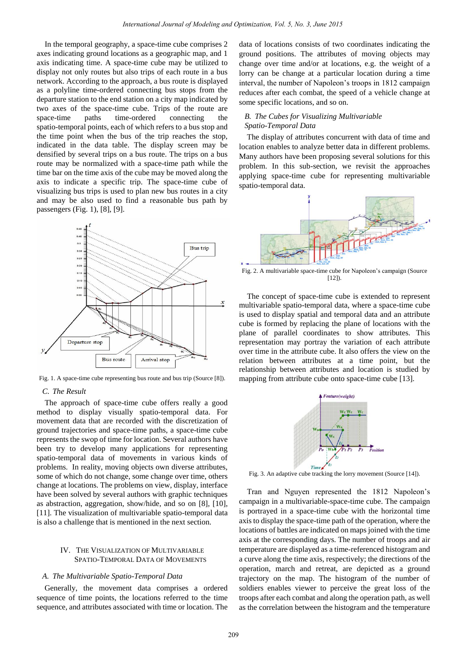In the temporal geography, a space-time cube comprises 2 axes indicating ground locations as a geographic map, and 1 axis indicating time. A space-time cube may be utilized to display not only routes but also trips of each route in a bus network. According to the approach, a bus route is displayed as a polyline time-ordered connecting bus stops from the departure station to the end station on a city map indicated by two axes of the space-time cube. Trips of the route are space-time paths time-ordered connecting the spatio-temporal points, each of which refers to a bus stop and the time point when the bus of the trip reaches the stop, indicated in the data table. The display screen may be densified by several trips on a bus route. The trips on a bus route may be normalized with a space-time path while the time bar on the time axis of the cube may be moved along the axis to indicate a specific trip. The space-time cube of visualizing bus trips is used to plan new bus routes in a city and may be also used to find a reasonable bus path by passengers (Fig. 1), [8], [9].



Fig. 1. A space-time cube representing bus route and bus trip (Source [8]).

#### *C. The Result*

The approach of space-time cube offers really a good method to display visually spatio-temporal data. For movement data that are recorded with the discretization of ground trajectories and space-time paths, a space-time cube represents the swop of time for location. Several authors have been try to develop many applications for representing spatio-temporal data of movements in various kinds of problems. In reality, moving objects own diverse attributes, some of which do not change, some change over time, others change at locations. The problems on view, display, interface have been solved by several authors with graphic techniques as abstraction, aggregation, show/hide, and so on [8], [10], [11]. The visualization of multivariable spatio-temporal data is also a challenge that is mentioned in the next section.

#### IV. THE VISUALIZATION OF MULTIVARIABLE SPATIO-TEMPORAL DATA OF MOVEMENTS

#### *A. The Multivariable Spatio-Temporal Data*

Generally, the movement data comprises a ordered sequence of time points, the locations referred to the time sequence, and attributes associated with time or location. The data of locations consists of two coordinates indicating the ground positions. The attributes of moving objects may change over time and/or at locations, e.g. the weight of a lorry can be change at a particular location during a time interval, the number of Napoleon's troops in 1812 campaign reduces after each combat, the speed of a vehicle change at some specific locations, and so on.

#### *B. The Cubes for Visualizing Multivariable Spatio-Temporal Data*

The display of attributes concurrent with data of time and location enables to analyze better data in different problems. Many authors have been proposing several solutions for this problem. In this sub-section, we revisit the approaches applying space-time cube for representing multivariable spatio-temporal data.



Fig. 2. A multivariable space-time cube for Napoleon's campaign (Source  $[12]$ ).

The concept of space-time cube is extended to represent multivariable spatio-temporal data, where a space-time cube is used to display spatial and temporal data and an attribute cube is formed by replacing the plane of locations with the plane of parallel coordinates to show attributes. This representation may portray the variation of each attribute over time in the attribute cube. It also offers the view on the relation between attributes at a time point, but the relationship between attributes and location is studied by mapping from attribute cube onto space-time cube [13].



Fig. 3. An adaptive cube tracking the lorry movement (Source [14]).

Tran and Nguyen represented the 1812 Napoleon's campaign in a multivariable-space-time cube. The campaign is portrayed in a space-time cube with the horizontal time axis to display the space-time path of the operation, where the locations of battles are indicated on maps joined with the time axis at the corresponding days. The number of troops and air temperature are displayed as a time-referenced histogram and a curve along the time axis, respectively; the directions of the operation, march and retreat, are depicted as a ground trajectory on the map. The histogram of the number of soldiers enables viewer to perceive the great loss of the troops after each combat and along the operation path, as well as the correlation between the histogram and the temperature